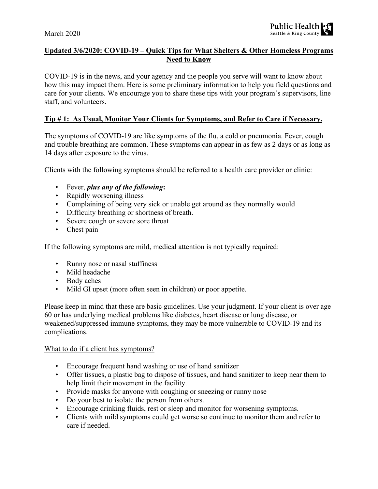

# **Updated 3/6/2020: COVID-19 – Quick Tips for What Shelters & Other Homeless Programs Need to Know**

COVID-19 is in the news, and your agency and the people you serve will want to know about how this may impact them. Here is some preliminary information to help you field questions and care for your clients. We encourage you to share these tips with your program's supervisors, line staff, and volunteers.

#### **Tip # 1: As Usual, Monitor Your Clients for Symptoms, and Refer to Care if Necessary.**

The symptoms of COVID-19 are like symptoms of the flu, a cold or pneumonia. Fever, cough and trouble breathing are common. These symptoms can appear in as few as 2 days or as long as 14 days after exposure to the virus.

Clients with the following symptoms should be referred to a health care provider or clinic:

- Fever, *plus any of the following***:**
- Rapidly worsening illness
- Complaining of being very sick or unable get around as they normally would
- Difficulty breathing or shortness of breath.
- Severe cough or severe sore throat
- Chest pain

If the following symptoms are mild, medical attention is not typically required:

- Runny nose or nasal stuffiness
- Mild headache
- Body aches
- Mild GI upset (more often seen in children) or poor appetite.

Please keep in mind that these are basic guidelines. Use your judgment. If your client is over age 60 or has underlying medical problems like diabetes, heart disease or lung disease, or weakened/suppressed immune symptoms, they may be more vulnerable to COVID-19 and its complications.

#### What to do if a client has symptoms?

- Encourage frequent hand washing or use of hand sanitizer
- Offer tissues, a plastic bag to dispose of tissues, and hand sanitizer to keep near them to help limit their movement in the facility.
- Provide masks for anyone with coughing or sneezing or runny nose
- Do your best to isolate the person from others.
- Encourage drinking fluids, rest or sleep and monitor for worsening symptoms.
- Clients with mild symptoms could get worse so continue to monitor them and refer to care if needed.